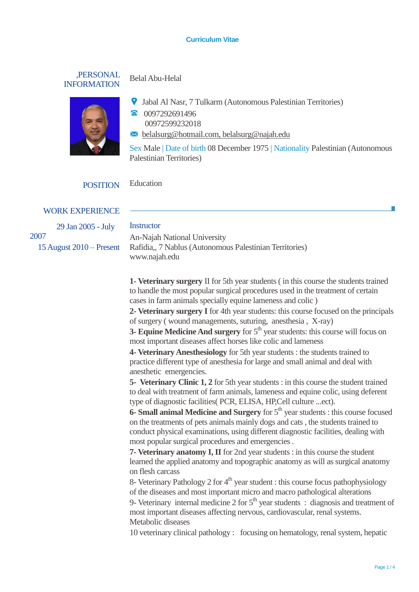#### **Curriculum Vitae**

,PERSONAL INFORMATION

Belal Abu-Helal



Jabal Al Nasr, 7 Tulkarm (Autonomous Palestinian Territories)

0097292691496 00972599232018

**belalsurg@hotmail.com, belalsurg@najah.edu** 

Sex Male | Date of birth 08 December 1975 | Nationality Palestinian (Autonomous Palestinian Territories)

## POSITION Education

#### WORK EXPERIENCE

 29 Jan 2005 - July 2007 15 August 2010 – Present **Instructor** An-Najah National University Rafidia,, 7 Nablus (Autonomous Palestinian Territories) www.najah.edu

**1- Veterinary surgery** II for 5th year students ( in this course the students trained to handle the most popular surgical procedures used in the treatment of certain cases in farm animals specially equine lameness and colic )

**2- Veterinary surgery I** for 4th year students: this course focused on the principals of surgery ( wound managements, suturing, anesthesia , X-ray)

**3- Equine Medicine And surgery** for  $5<sup>th</sup>$  year students: this course will focus on most important diseases affect horses like colic and lameness

**4- Veterinary Anesthesiology** for 5th year students : the students trained to practice different type of anesthesia for large and small animal and deal with anesthetic emergencies.

**5- Veterinary Clinic 1, 2** for 5th year students : in this course the student trained to deal with treatment of farm animals, lameness and equine colic, using deferent type of diagnostic facilities( PCR, ELISA, HP,Cell culture ...ect).

**6- Small animal Medicine and Surgery** for  $5<sup>th</sup>$  year students : this course focused on the treatments of pets animals mainly dogs and cats , the students trained to conduct physical examinations, using different diagnostic facilities, dealing with most popular surgical procedures and emergencies .

**7- Veterinary anatomy I, II** for 2nd year students : in this course the student learned the applied anatomy and topographic anatomy as will as surgical anatomy on flesh carcass

8- Veterinary Pathology 2 for  $4<sup>th</sup>$  year student : this course focus pathophysiology of the diseases and most important micro and macro pathological alterations

9- Veterinary internal medicine 2 for  $5<sup>th</sup>$  year students : diagnosis and treatment of most important diseases affecting nervous, cardiovascular, renal systems. Metabolic diseases

10 veterinary clinical pathology : focusing on hematology, renal system, hepatic

Page 1 / 4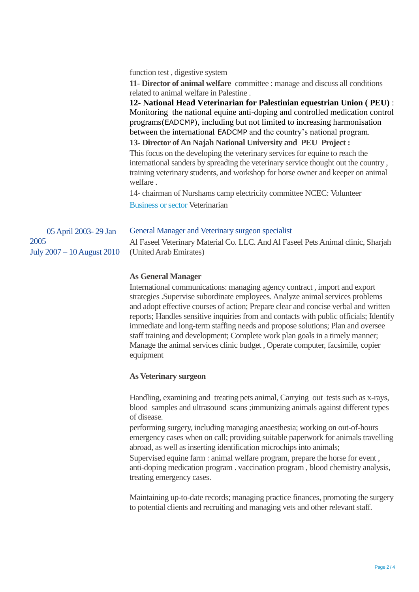function test , digestive system **11- Director of animal welfare** committee : manage and discuss all conditions related to animal welfare in Palestine . **12- National Head Veterinarian for Palestinian equestrian Union ( PEU)** : Monitoring the national equine anti-doping and controlled medication control programs(EADCMP), including but not limited to increasing harmonisation between the international EADCMP and the country's national program. **13- Director of An Najah National University and PEU Project :** This focus on the developing the veterinary services for equine to reach the international sanders by spreading the veterinary service thought out the country , training veterinary students, and workshop for horse owner and keeper on animal welfare . 14- chairman of Nurshams camp electricity committee NCEC: Volunteer Business or sector Veterinarian 05 April 2003- 29 Jan 2005 July 2007 – 10 August 2010 General Manager and Veterinary surgeon specialist Al Faseel Veterinary Material Co. LLC. And Al Faseel Pets Animal clinic, Sharjah (United Arab Emirates)

## **As General Manager**

International communications: managing agency contract , import and export strategies .Supervise subordinate employees. Analyze animal services problems and adopt effective courses of action; Prepare clear and concise verbal and written reports; Handles sensitive inquiries from and contacts with public officials; Identify immediate and long-term staffing needs and propose solutions; Plan and oversee staff training and development; Complete work plan goals in a timely manner; Manage the animal services clinic budget , Operate computer, facsimile, copier equipment

# **As Veterinary surgeon**

Handling, examining and treating pets animal, Carrying out tests such as x-rays, blood samples and ultrasound scans;immunizing animals against different types of disease.

performing surgery, including managing anaesthesia; working on out-of-hours emergency cases when on call; providing suitable paperwork for animals travelling abroad, as well as inserting identification microchips into animals;

Supervised equine farm : animal welfare program, prepare the horse for event , anti-doping medication program . vaccination program , blood chemistry analysis, treating emergency cases.

Maintaining up-to-date records; managing practice finances, promoting the surgery to potential clients and recruiting and managing vets and other relevant staff.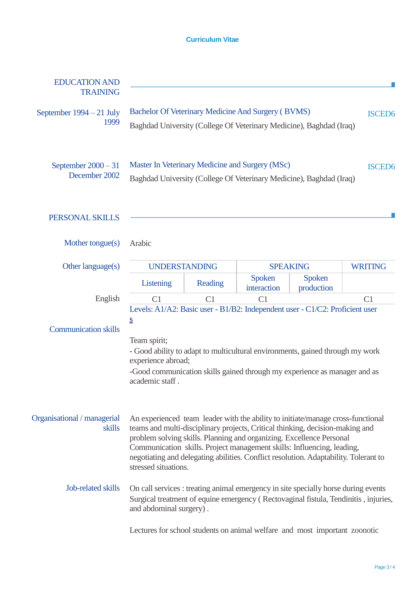### **Curriculum Vitae**

| <b>EDUCATION AND</b><br><b>TRAINING</b> |                                                                                                                                                                                                                                                                                                                                                                                                                                    |         |                              |                             |                |
|-----------------------------------------|------------------------------------------------------------------------------------------------------------------------------------------------------------------------------------------------------------------------------------------------------------------------------------------------------------------------------------------------------------------------------------------------------------------------------------|---------|------------------------------|-----------------------------|----------------|
| September 1994 - 21 July<br>1999        | Bachelor Of Veterinary Medicine And Surgery (BVMS)<br><b>ISCED6</b><br>Baghdad University (College Of Veterinary Medicine), Baghdad (Iraq)                                                                                                                                                                                                                                                                                         |         |                              |                             |                |
| September $2000 - 31$<br>December 2002  | Master In Veterinary Medicine and Surgery (MSc)<br><b>ISCED6</b><br>Baghdad University (College Of Veterinary Medicine), Baghdad (Iraq)                                                                                                                                                                                                                                                                                            |         |                              |                             |                |
| PERSONAL SKILLS                         |                                                                                                                                                                                                                                                                                                                                                                                                                                    |         |                              |                             |                |
| Mother tongue(s)                        | Arabic                                                                                                                                                                                                                                                                                                                                                                                                                             |         |                              |                             |                |
| Other language(s)                       | <b>UNDERSTANDING</b>                                                                                                                                                                                                                                                                                                                                                                                                               |         | <b>SPEAKING</b>              |                             | <b>WRITING</b> |
|                                         | Listening                                                                                                                                                                                                                                                                                                                                                                                                                          | Reading | <b>Spoken</b><br>interaction | <b>Spoken</b><br>production |                |
| English                                 | C <sub>1</sub><br>C <sub>1</sub><br>C1<br>C <sub>1</sub><br>Levels: A1/A2: Basic user - B1/B2: Independent user - C1/C2: Proficient user<br>S                                                                                                                                                                                                                                                                                      |         |                              |                             |                |
| <b>Communication skills</b>             | Team spirit;<br>- Good ability to adapt to multicultural environments, gained through my work<br>experience abroad;<br>-Good communication skills gained through my experience as manager and as<br>academic staff.                                                                                                                                                                                                                |         |                              |                             |                |
| Organisational / managerial<br>skills   | An experienced team leader with the ability to initiate/manage cross-functional<br>teams and multi-disciplinary projects, Critical thinking, decision-making and<br>problem solving skills. Planning and organizing. Excellence Personal<br>Communication skills. Project management skills: Influencing, leading,<br>negotiating and delegating abilities. Conflict resolution. Adaptability. Tolerant to<br>stressed situations. |         |                              |                             |                |
| Job-related skills                      | On call services : treating animal emergency in site specially horse during events<br>Surgical treatment of equine emergency (Rectovaginal fistula, Tendinitis, injuries,<br>and abdominal surgery).                                                                                                                                                                                                                               |         |                              |                             |                |
|                                         | Lectures for school students on animal welfare and most important zoonotic                                                                                                                                                                                                                                                                                                                                                         |         |                              |                             |                |